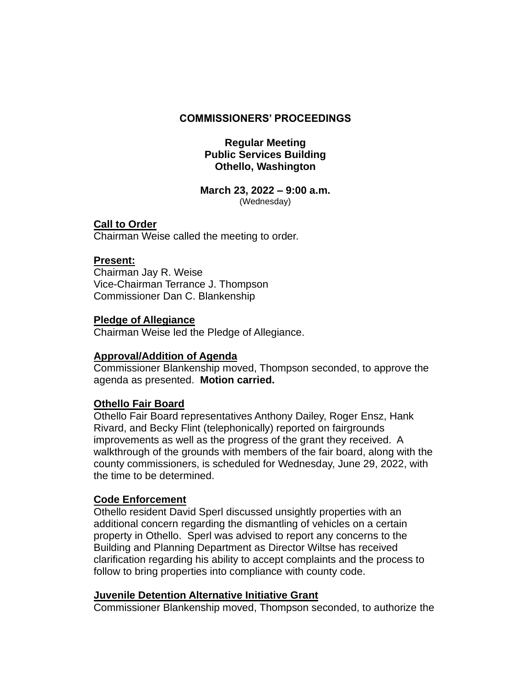#### **COMMISSIONERS' PROCEEDINGS**

#### **Regular Meeting Public Services Building Othello, Washington**

#### **March 23, 2022 – 9:00 a.m.** (Wednesday)

# **Call to Order**

Chairman Weise called the meeting to order.

# **Present:**

Chairman Jay R. Weise Vice-Chairman Terrance J. Thompson Commissioner Dan C. Blankenship

#### **Pledge of Allegiance**

Chairman Weise led the Pledge of Allegiance.

# **Approval/Addition of Agenda**

Commissioner Blankenship moved, Thompson seconded, to approve the agenda as presented. **Motion carried.**

# **Othello Fair Board**

Othello Fair Board representatives Anthony Dailey, Roger Ensz, Hank Rivard, and Becky Flint (telephonically) reported on fairgrounds improvements as well as the progress of the grant they received. A walkthrough of the grounds with members of the fair board, along with the county commissioners, is scheduled for Wednesday, June 29, 2022, with the time to be determined.

# **Code Enforcement**

Othello resident David Sperl discussed unsightly properties with an additional concern regarding the dismantling of vehicles on a certain property in Othello. Sperl was advised to report any concerns to the Building and Planning Department as Director Wiltse has received clarification regarding his ability to accept complaints and the process to follow to bring properties into compliance with county code.

# **Juvenile Detention Alternative Initiative Grant**

Commissioner Blankenship moved, Thompson seconded, to authorize the